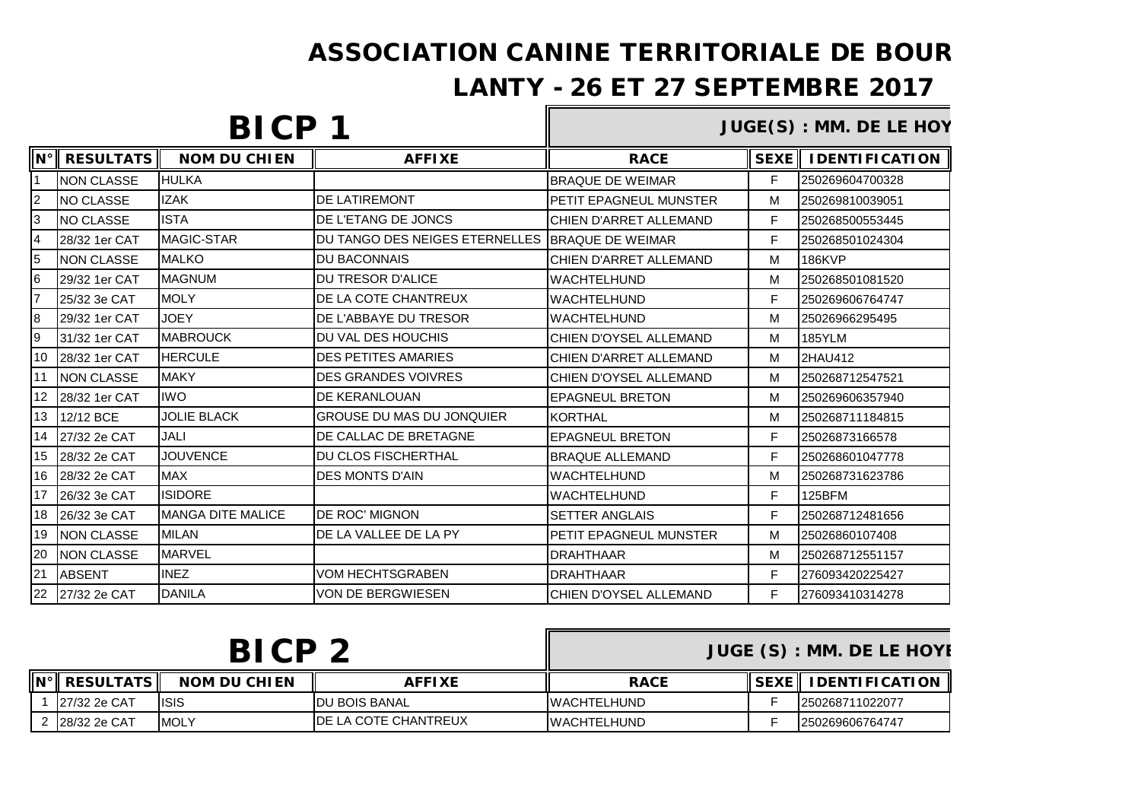## ASSOCIATION CANINE TERRITORIALE DE BOUR

## LANTY - 26 ET 27 SEPTEMBRE 2017

# **BICP 1**

#### **JUGE(S) : MM. DE LE HOY**

| $\mathsf{N}^\circ$ | <b>RESULTATS</b>  | <b>NOM DU CHIEN</b>       | <b>AFFIXE</b>                                     | <b>RACE</b>                   | <b>SEXE</b> | <b>IDENTIFICATION</b> |
|--------------------|-------------------|---------------------------|---------------------------------------------------|-------------------------------|-------------|-----------------------|
|                    | <b>NON CLASSE</b> | <b>HULKA</b>              |                                                   | <b>BRAQUE DE WEIMAR</b>       | F           | 250269604700328       |
| $\overline{2}$     | NO CLASSE         | <b>IZAK</b>               | <b>DE LATIREMONT</b>                              | <b>PETIT EPAGNEUL MUNSTER</b> | M           | 250269810039051       |
| 3                  | NO CLASSE         | <b>ISTA</b>               | DE L'ETANG DE JONCS                               | CHIEN D'ARRET ALLEMAND        | F           | 250268500553445       |
| $\overline{4}$     | 28/32 1er CAT     | MAGIC-STAR                | DU TANGO DES NEIGES ETERNELLES   BRAQUE DE WEIMAR |                               | F           | 250268501024304       |
| 5                  | <b>NON CLASSE</b> | <b>MALKO</b>              | <b>DU BACONNAIS</b>                               | CHIEN D'ARRET ALLEMAND        | M           | <b>186KVP</b>         |
| 6                  | 29/32 1er CAT     | <b>MAGNUM</b>             | <b>DU TRESOR D'ALICE</b>                          | <b>WACHTELHUND</b>            | M           | 250268501081520       |
| l7                 | 25/32 3e CAT      | <b>MOLY</b>               | DE LA COTE CHANTREUX                              | <b>WACHTELHUND</b>            | F           | 250269606764747       |
| 8                  | 29/32 1er CAT     | <b>JOEY</b>               | <b>DE L'ABBAYE DU TRESOR</b>                      | <b>WACHTELHUND</b>            | M           | 25026966295495        |
| 9                  | 31/32 1er CAT     | <b>MABROUCK</b>           | DU VAL DES HOUCHIS                                | <b>CHIEN D'OYSEL ALLEMAND</b> | M           | <b>185YLM</b>         |
| 10                 | 28/32 1er CAT     | <b>HERCULE</b>            | <b>DES PETITES AMARIES</b>                        | CHIEN D'ARRET ALLEMAND        | M           | 2HAU412               |
| 11                 | <b>NON CLASSE</b> | <b>MAKY</b>               | <b>DES GRANDES VOIVRES</b>                        | CHIEN D'OYSEL ALLEMAND        | M           | 250268712547521       |
| 12                 | 28/32 1er CAT     | <b>IWO</b>                | <b>DE KERANLOUAN</b>                              | <b>EPAGNEUL BRETON</b>        | M           | 250269606357940       |
| 13                 | 12/12 BCE         | <b>JOLIE BLACK</b>        | <b>GROUSE DU MAS DU JONQUIER</b>                  | <b>KORTHAL</b>                | M           | 250268711184815       |
| 14                 | 27/32 2e CAT      | JALI                      | DE CALLAC DE BRETAGNE                             | <b>EPAGNEUL BRETON</b>        | F           | 25026873166578        |
| 15                 | 28/32 2e CAT      | <b>JOUVENCE</b>           | <b>DU CLOS FISCHERTHAL</b>                        | <b>BRAQUE ALLEMAND</b>        | F           | 250268601047778       |
| 16                 | 28/32 2e CAT      | <b>MAX</b>                | <b>DES MONTS D'AIN</b>                            | <b>WACHTELHUND</b>            | M           | 250268731623786       |
| 17                 | 26/32 3e CAT      | <b>ISIDORE</b>            |                                                   | <b>WACHTELHUND</b>            | F           | <b>125BFM</b>         |
| 18                 | 26/32 3e CAT      | <b>IMANGA DITE MALICE</b> | <b>DE ROC' MIGNON</b>                             | <b>SETTER ANGLAIS</b>         | F           | 250268712481656       |
| 19                 | <b>NON CLASSE</b> | <b>MILAN</b>              | DE LA VALLEE DE LA PY                             | PETIT EPAGNEUL MUNSTER        | M           | 25026860107408        |
| 20                 | <b>NON CLASSE</b> | <b>MARVEL</b>             |                                                   | <b>DRAHTHAAR</b>              | м           | 250268712551157       |
| 21                 | <b>ABSENT</b>     | <b>INEZ</b>               | <b>VOM HECHTSGRABEN</b>                           | <b>DRAHTHAAR</b>              | F           | 276093420225427       |
| 22                 | 27/32 2e CAT      | <b>DANILA</b>             | <b>VON DE BERGWIESEN</b>                          | <b>CHIEN D'OYSEL ALLEMAND</b> | F           | 276093410314278       |

| <b>BICP2</b> |                              |                     |                              | <b>JUGE (S): MM. DE LE HOYE</b> |                                             |
|--------------|------------------------------|---------------------|------------------------------|---------------------------------|---------------------------------------------|
|              | $\ N^\circ\ $ RESULTATS $\ $ | <b>NOM DU CHIEN</b> | <b>AFFIXE</b>                | <b>RACE</b>                     | $\parallel$ SEXE $\parallel$ IDENTIFICATION |
|              | 127/32 2e CAT                | <b>ISIS</b>         | <b>IDU BOIS BANAL</b>        | <b>IWACHTELHUND</b>             | 1250268711022077                            |
|              | 2 28/32 2e CAT               | <b>IMOLY</b>        | <b>IDE LA COTE CHANTREUX</b> | <b>IWACHTELHUND</b>             | 1250269606764747                            |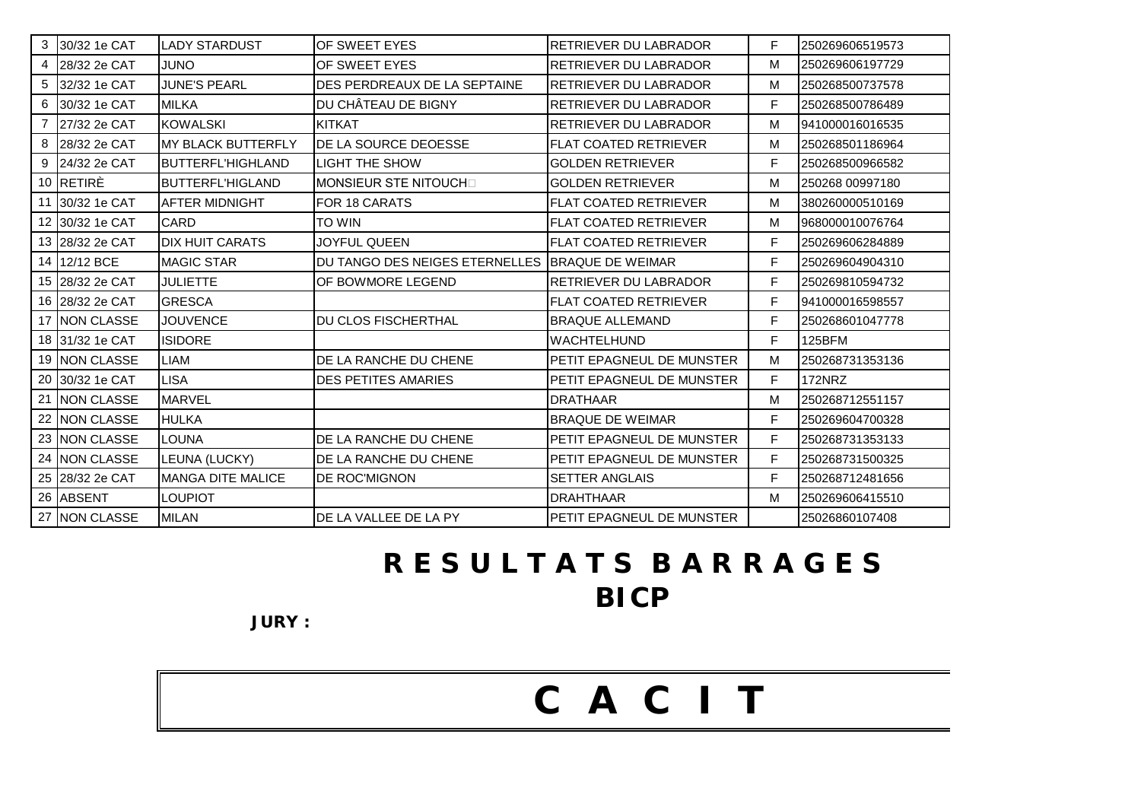#### 5 32/32 1e CAT JUNE'S PEARL DES PERDREAUX DE LA SEPTAINE RETRIEVER DU LABRADOR M 250268500737578 6 30/32 1e CAT MILKA DU CHÂTEAU DE BIGNY RETRIEVER DU LABRADOR F 250268500786489 7 27/32 2e CAT KOWALSKI KITKAT RETRIEVER DU LABRADOR M 941000016016535 8 28/32 2e CAT MY BLACK BUTTERFLY DE LA SOURCE DEOESSE FLAT COATED RETRIEVER IM 250268501186964 9 24/32 2e CAT BUTTERFL'HIGHLAND LIGHT THE SHOW GOLDEN RETRIEVER F 250268500966582 10 RETIRÈ BUTTERFL'HIGLAND MONSIEUR STE NITOUCH GOLDEN RETRIEVER **M** 250268 00997180 11 30/32 1e CAT LAFTER MIDNIGHT LEOR 18 CARATS FLAT COATED RETRIEVER LATING 1380260000510169 12 30/32 1e CAT CARD TO WIN FLAT COATED RETRIEVER M 968000010076764 13 28/32 2e CAT I DIX HUIT CARATS I JOYFUL QUEEN FLAT COATED RETRIEVER FRIEVER F 250269606284889 14 12/12 BCE MAGIC STAR DU TANGO DES NEIGES ETERNELLES BRAQUE DE WEIMAR F 250269604904310 15 28/32 2e CAT JULIETTE OF BOWMORE LEGEND RETRIEVER DU LABRADOR F 250269810594732 16 28/32 2e CAT GRESCA FLAT COATED RETRIEVER F 941000016598557 17 NON CLASSE JOUVENCE DU CLOS FISCHERTHAL BRAQUE ALLEMAND F 250268601047778 18 31/32 1e CAT |ISIDORE | |WACHTELHUND | F |125BFM 19 INON CLASSE LIAM **DE LA RANCHE DU CHENE** PETIT EPAGNEUL DE MUNSTER MILE 150268731353136 20 30/32 1e CAT LISA DES PETITES AMARIES PETIT EPAGNEUL DE MUNSTER F 172NRZ 21 NON CLASSE MARVEL DRATHAAR M 250268712551157 22 NON CLASSE HULKA BRAQUE DE WEIMAR F 250269604700328 23 NON CLASSE LOUNA DE LA RANCHE DU CHENE PAGNEUL DE MUNSTER F 250268731353133 24 INON CLASSE LEUNA (LUCKY) DE LA RANCHE DU CHENE PAGNEUL DE MUNSTER | F 250268731500325 25 28/32 2e CAT MANGA DITE MALICE DE ROC'MIGNON SETTER ANGLAIS SANGLAIS SERVIZAGRESSE 26 ABSENT LOUPIOT DRAHTHAAR M 250269606415510 27 NON CLASSE MILAN DE LA VALLEE DE LA PY PETIT EPAGNEUL DE MUNSTER | 25026860107408 **R E S U L T A T S B A R R A G E S**

3 30/32 1e CAT LADY STARDUST OF SWEET EYES RETRIEVER DU LABRADOR F 250269606519573 4 28/32 2e CAT JUNO OF SWEET EYES RETRIEVER DU LABRADOR M 250269606197729

C A C I T

**JURY :**

# **BICP**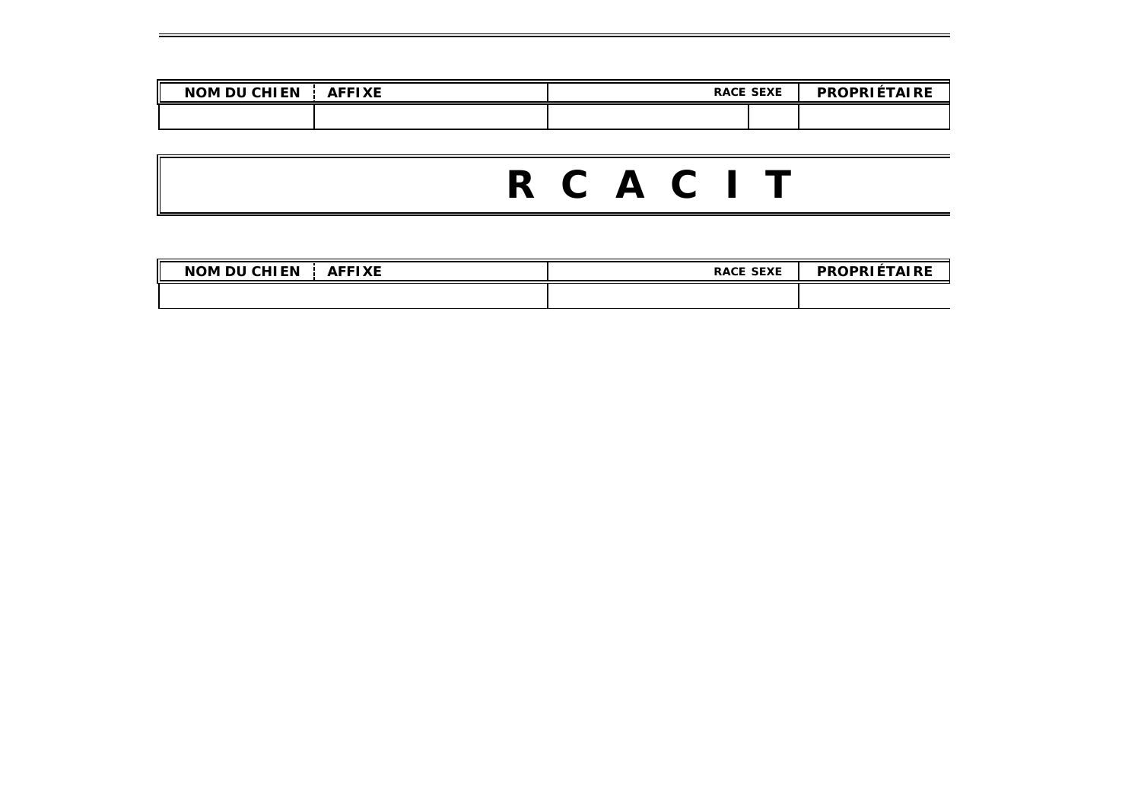| <b>AFFIXE</b><br>I CHIEN<br><b>NOM DU</b> | <b>RACE SEXE</b> | <b>ILÉTAIRE</b><br><b>PROPRII</b> |
|-------------------------------------------|------------------|-----------------------------------|
|                                           |                  |                                   |

# R C A C I T

| <b>DU CHIEN</b><br>AFFIXE<br><b>NOM</b> | <b>RACE SEXE</b> | <b>PROPRIÉTAIRE</b> |
|-----------------------------------------|------------------|---------------------|
|                                         |                  |                     |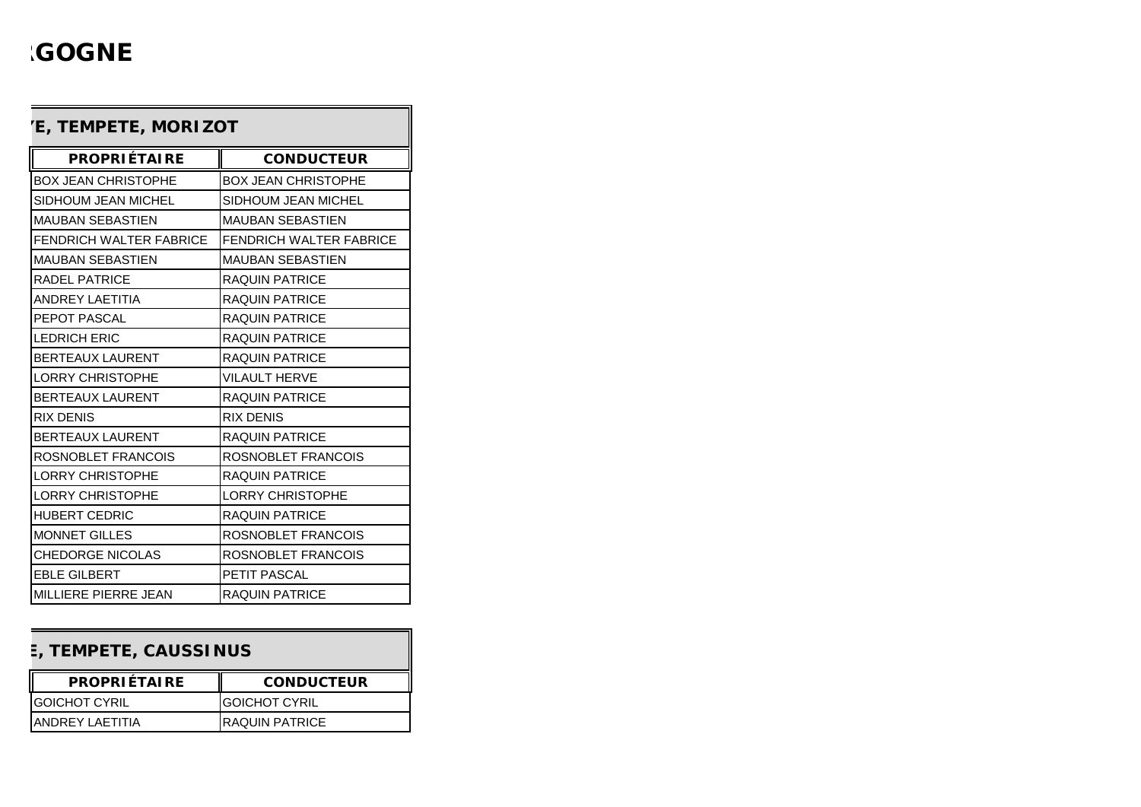# **'GOGNE**

| <b>PROPRIÉTAIRE</b>            | <b>CONDUCTEUR</b>              |
|--------------------------------|--------------------------------|
| <b>BOX JEAN CHRISTOPHE</b>     | <b>BOX JEAN CHRISTOPHE</b>     |
| SIDHOUM JEAN MICHEL            | SIDHOUM JEAN MICHEL            |
| MAUBAN SEBASTIEN               | <b>MAUBAN SEBASTIEN</b>        |
| <b>FENDRICH WALTER FABRICE</b> | <b>FENDRICH WALTER FABRICE</b> |
| <b>MAUBAN SEBASTIEN</b>        | <b>MAUBAN SEBASTIEN</b>        |
| <b>RADEL PATRICE</b>           | <b>RAQUIN PATRICE</b>          |
| ANDREY LAFTITIA                | RAQUIN PATRICE                 |
| PEPOT PASCAL                   | <b>RAQUIN PATRICE</b>          |
| <b>LEDRICH ERIC</b>            | <b>RAQUIN PATRICE</b>          |
| <b>BERTEAUX LAURENT</b>        | <b>RAQUIN PATRICE</b>          |
| <b>LORRY CHRISTOPHE</b>        | <b>VILAULT HERVE</b>           |
| <b>BERTEAUX LAURENT</b>        | <b>RAQUIN PATRICE</b>          |
| <b>RIX DENIS</b>               | <b>RIX DENIS</b>               |
| <b>BERTEAUX LAURENT</b>        | RAQUIN PATRICE                 |
| ROSNOBLET FRANCOIS             | ROSNOBLET FRANCOIS             |
| <b>LORRY CHRISTOPHE</b>        | RAQUIN PATRICE                 |
| <b>LORRY CHRISTOPHE</b>        | <b>LORRY CHRISTOPHE</b>        |
| <b>HUBERT CEDRIC</b>           | RAQUIN PATRICE                 |
| <b>MONNET GILLES</b>           | ROSNOBLET FRANCOIS             |
| <b>CHEDORGE NICOLAS</b>        | ROSNOBLET FRANCOIS             |
| <b>EBLE GILBERT</b>            | PETIT PASCAL                   |
| MILLIERE PIERRE JEAN           | <b>RAQUIN PATRICE</b>          |

### **E, TEMPETE, CAUSSINUS**

| <b>PROPRIÉTAIRE</b>   | <b>CONDUCTEUR</b>     |
|-----------------------|-----------------------|
| <b>IGOICHOT CYRIL</b> | <b>IGOICHOT CYRIL</b> |
| IANDREY LAFTITIA      | <b>RAQUIN PATRICE</b> |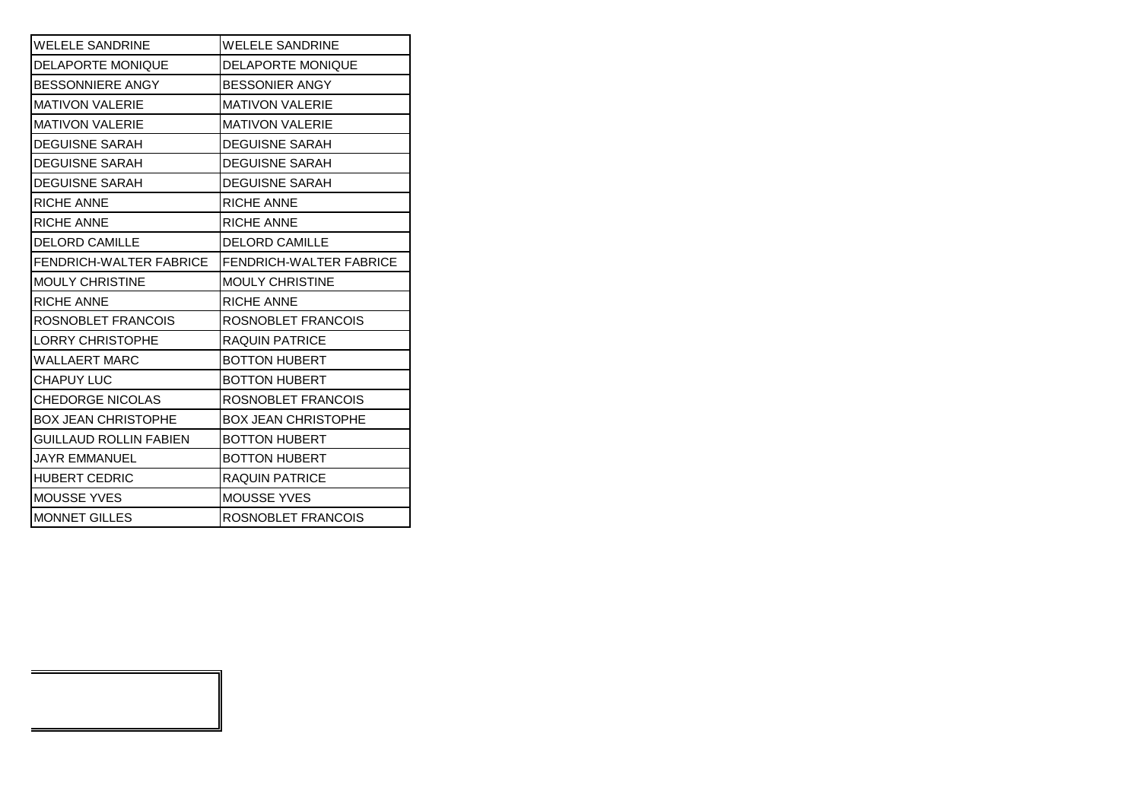| <b>WELELE SANDRINE</b>        | <b>WELELE SANDRINE</b>         |
|-------------------------------|--------------------------------|
| <b>DELAPORTE MONIQUE</b>      | <b>DELAPORTE MONIQUE</b>       |
| <b>BESSONNIERE ANGY</b>       | <b>BESSONIER ANGY</b>          |
| <b>MATIVON VALERIE</b>        | <b>MATIVON VALERIE</b>         |
| <b>MATIVON VALERIE</b>        | <b>MATIVON VALERIE</b>         |
| <b>DEGUISNE SARAH</b>         | <b>DEGUISNE SARAH</b>          |
| <b>DEGUISNE SARAH</b>         | <b>DEGUISNE SARAH</b>          |
| <b>DEGUISNE SARAH</b>         | <b>DEGUISNE SARAH</b>          |
| <b>RICHE ANNE</b>             | <b>RICHE ANNE</b>              |
| <b>RICHE ANNE</b>             | RICHE ANNE                     |
| <b>DELORD CAMILLE</b>         | <b>DELORD CAMILLE</b>          |
| FENDRICH-WALTER FABRICE       | <b>FENDRICH-WALTER FABRICE</b> |
| <b>MOULY CHRISTINE</b>        | <b>MOULY CHRISTINE</b>         |
| <b>RICHE ANNE</b>             | <b>RICHE ANNE</b>              |
| ROSNOBLET FRANCOIS            | ROSNOBLET FRANCOIS             |
| <b>LORRY CHRISTOPHE</b>       | <b>RAQUIN PATRICE</b>          |
| <b>WALLAERT MARC</b>          | <b>BOTTON HUBERT</b>           |
| <b>CHAPUY LUC</b>             | <b>BOTTON HUBERT</b>           |
| <b>CHEDORGE NICOLAS</b>       | ROSNOBLET FRANCOIS             |
| <b>BOX JEAN CHRISTOPHE</b>    | <b>BOX JEAN CHRISTOPHE</b>     |
| <b>GUILLAUD ROLLIN FABIEN</b> | <b>BOTTON HUBERT</b>           |
| <b>JAYR EMMANUEL</b>          | <b>BOTTON HUBERT</b>           |
| <b>HUBERT CEDRIC</b>          | RAQUIN PATRICE                 |
| <b>MOUSSE YVES</b>            | <b>MOUSSE YVES</b>             |
| <b>MONNET GILLES</b>          | ROSNOBLET FRANCOIS             |